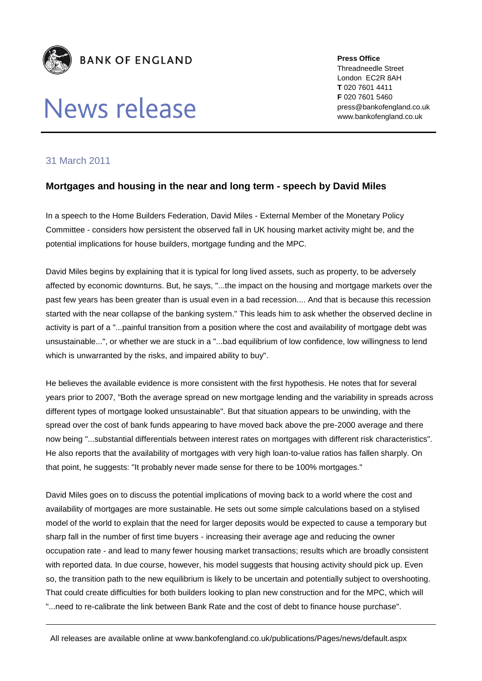

## **News release**

**Press Office** Threadneedle Street London EC2R 8AH **T** 020 7601 4411 **F** 020 7601 5460 press@bankofengland.co.uk www.bankofengland.co.uk

## 31 March 2011

## **Mortgages and housing in the near and long term - speech by David Miles**

In a speech to the Home Builders Federation, David Miles - External Member of the Monetary Policy Committee - considers how persistent the observed fall in UK housing market activity might be, and the potential implications for house builders, mortgage funding and the MPC.

David Miles begins by explaining that it is typical for long lived assets, such as property, to be adversely affected by economic downturns. But, he says, "...the impact on the housing and mortgage markets over the past few years has been greater than is usual even in a bad recession.... And that is because this recession started with the near collapse of the banking system." This leads him to ask whether the observed decline in activity is part of a "...painful transition from a position where the cost and availability of mortgage debt was unsustainable...", or whether we are stuck in a "...bad equilibrium of low confidence, low willingness to lend which is unwarranted by the risks, and impaired ability to buy".

He believes the available evidence is more consistent with the first hypothesis. He notes that for several years prior to 2007, "Both the average spread on new mortgage lending and the variability in spreads across different types of mortgage looked unsustainable". But that situation appears to be unwinding, with the spread over the cost of bank funds appearing to have moved back above the pre-2000 average and there now being "...substantial differentials between interest rates on mortgages with different risk characteristics". He also reports that the availability of mortgages with very high loan-to-value ratios has fallen sharply. On that point, he suggests: "It probably never made sense for there to be 100% mortgages."

David Miles goes on to discuss the potential implications of moving back to a world where the cost and availability of mortgages are more sustainable. He sets out some simple calculations based on a stylised model of the world to explain that the need for larger deposits would be expected to cause a temporary but sharp fall in the number of first time buyers - increasing their average age and reducing the owner occupation rate - and lead to many fewer housing market transactions; results which are broadly consistent with reported data. In due course, however, his model suggests that housing activity should pick up. Even so, the transition path to the new equilibrium is likely to be uncertain and potentially subject to overshooting. That could create difficulties for both builders looking to plan new construction and for the MPC, which will "...need to re-calibrate the link between Bank Rate and the cost of debt to finance house purchase".